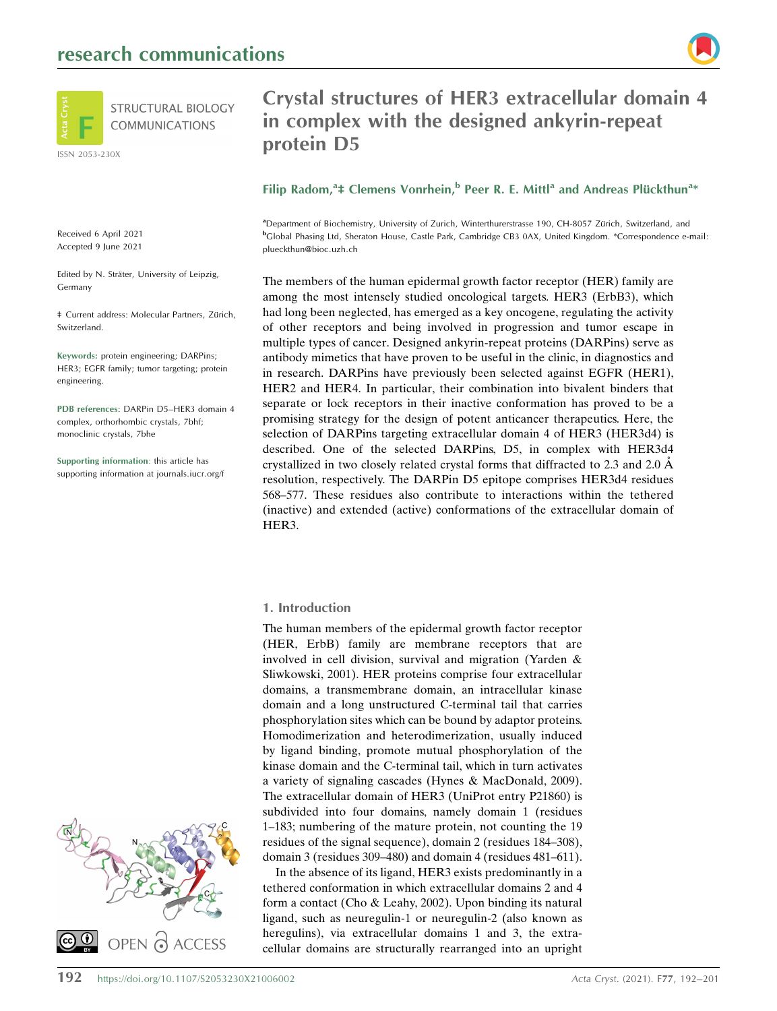

Received 6 April 2021 Accepted 9 June 2021

Edited by N. Sträter, University of Leipzig, Germany

 $\ddagger$  Current address: Molecular Partners, Zürich, Switzerland.

Keywords: protein engineering; DARPins; HER3; EGFR family; tumor targeting; protein engineering.

PDB references: DARPin D5–HER3 domain 4 complex, orthorhombic crystals, 7bhf; monoclinic crystals, 7bhe

Supporting information: this article has supporting information at journals.iucr.org/f



# Crystal structures of HER3 extracellular domain 4 in complex with the designed ankyrin-repeat protein D5

# Filip Radom,<sup>a</sup>‡ Clemens Vonrhein,<sup>b</sup> Peer R. E. Mittl<sup>a</sup> and Andreas Plückthun<sup>a</sup>\*

<sup>a</sup>Department of Biochemistry, University of Zurich, Winterthurerstrasse 190, CH-8057 Zürich, Switzerland, and b Global Phasing Ltd, Sheraton House, Castle Park, Cambridge CB3 0AX, United Kingdom. \*Correspondence e-mail: plueckthun@bioc.uzh.ch

The members of the human epidermal growth factor receptor (HER) family are among the most intensely studied oncological targets. HER3 (ErbB3), which had long been neglected, has emerged as a key oncogene, regulating the activity of other receptors and being involved in progression and tumor escape in multiple types of cancer. Designed ankyrin-repeat proteins (DARPins) serve as antibody mimetics that have proven to be useful in the clinic, in diagnostics and in research. DARPins have previously been selected against EGFR (HER1), HER2 and HER4. In particular, their combination into bivalent binders that separate or lock receptors in their inactive conformation has proved to be a promising strategy for the design of potent anticancer therapeutics. Here, the selection of DARPins targeting extracellular domain 4 of HER3 (HER3d4) is described. One of the selected DARPins, D5, in complex with HER3d4 crystallized in two closely related crystal forms that diffracted to 2.3 and 2.0  $\AA$ resolution, respectively. The DARPin D5 epitope comprises HER3d4 residues 568–577. These residues also contribute to interactions within the tethered (inactive) and extended (active) conformations of the extracellular domain of HER3.

## 1. Introduction

The human members of the epidermal growth factor receptor (HER, ErbB) family are membrane receptors that are involved in cell division, survival and migration (Yarden & Sliwkowski, 2001). HER proteins comprise four extracellular domains, a transmembrane domain, an intracellular kinase domain and a long unstructured C-terminal tail that carries phosphorylation sites which can be bound by adaptor proteins. Homodimerization and heterodimerization, usually induced by ligand binding, promote mutual phosphorylation of the kinase domain and the C-terminal tail, which in turn activates a variety of signaling cascades (Hynes & MacDonald, 2009). The extracellular domain of HER3 (UniProt entry P21860) is subdivided into four domains, namely domain 1 (residues 1–183; numbering of the mature protein, not counting the 19 residues of the signal sequence), domain 2 (residues 184–308), domain 3 (residues 309–480) and domain 4 (residues 481–611).

In the absence of its ligand, HER3 exists predominantly in a tethered conformation in which extracellular domains 2 and 4 form a contact (Cho & Leahy, 2002). Upon binding its natural ligand, such as neuregulin-1 or neuregulin-2 (also known as heregulins), via extracellular domains 1 and 3, the extracellular domains are structurally rearranged into an upright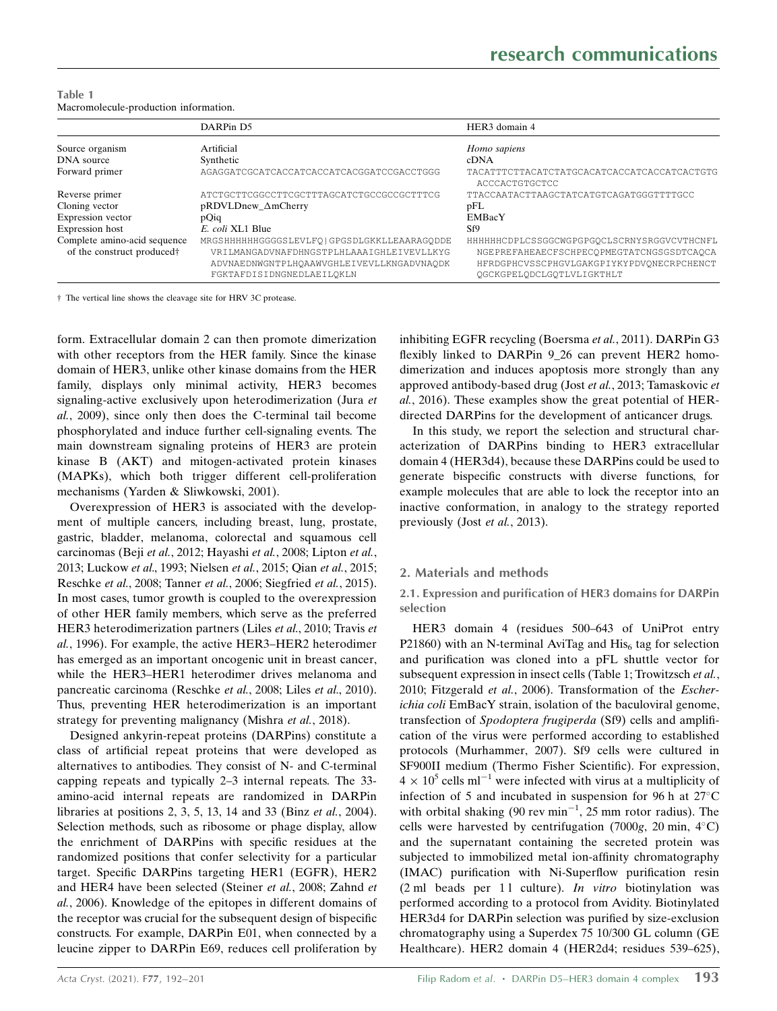| Table 1                               |  |
|---------------------------------------|--|
| Macromolecule-production information. |  |

|                                        | DARPin D5                                     | HER3 domain 4                                                 |
|----------------------------------------|-----------------------------------------------|---------------------------------------------------------------|
| Source organism                        | Artificial                                    | Homo sapiens                                                  |
| DNA source                             | Synthetic                                     | cDNA                                                          |
| Forward primer                         | AGAGGATCGCATCACCATCACCATCACGGATCCGACCTGGG     | TACATTTCTTACATCTATGCACATCACCATCACCATCACTGTG<br>ACCCACTGTGCTCC |
| Reverse primer                         | ATCTGCTTCGGCCTTCGCTTTAGCATCTGCCGCCGCTTTCG     | TTACCAATACTTAAGCTATCATGTCAGATGGGTTTTGCC                       |
| Cloning vector                         | pRDVLDnew_ $\Delta$ mCherry                   | pFL                                                           |
| Expression vector                      | pOig                                          | <b>EMBacY</b>                                                 |
| Expression host                        | E. coli XL1 Blue                              | Sf9                                                           |
| Complete amino-acid sequence           | MRGSHHHHHHGGGGSLEVLFO   GPGSDLGKKLLEAARAGODDE | HHHHHHCDPLCSSGGCWGPGPGOCLSCRNYSRGGVCVTHCNFL                   |
| of the construct produced <sup>†</sup> | VRILMANGADVNAFDHNGSTPLHLAAAIGHLEIVEVLLKYG     | NGEPREFAHEAECFSCHPECOPMEGTATCNGSGSDTCAOCA                     |
|                                        | ADVNAEDNWGNTPLHQAAWVGHLEIVEVLLKNGADVNAQDK     | HFRDGPHCVSSCPHGVLGAKGPIYKYPDVONECRPCHENCT                     |
|                                        | FGKTAFDISIDNGNEDLAEILQKLN                     | OGCKGPELODCLGOTLVLIGKTHLT                                     |

† The vertical line shows the cleavage site for HRV 3C protease.

form. Extracellular domain 2 can then promote dimerization with other receptors from the HER family. Since the kinase domain of HER3, unlike other kinase domains from the HER family, displays only minimal activity, HER3 becomes signaling-active exclusively upon heterodimerization (Jura et al., 2009), since only then does the C-terminal tail become phosphorylated and induce further cell-signaling events. The main downstream signaling proteins of HER3 are protein kinase B (AKT) and mitogen-activated protein kinases (MAPKs), which both trigger different cell-proliferation mechanisms (Yarden & Sliwkowski, 2001).

Overexpression of HER3 is associated with the development of multiple cancers, including breast, lung, prostate, gastric, bladder, melanoma, colorectal and squamous cell carcinomas (Beji et al., 2012; Hayashi et al., 2008; Lipton et al., 2013; Luckow et al., 1993; Nielsen et al., 2015; Qian et al., 2015; Reschke et al., 2008; Tanner et al., 2006; Siegfried et al., 2015). In most cases, tumor growth is coupled to the overexpression of other HER family members, which serve as the preferred HER3 heterodimerization partners (Liles et al., 2010; Travis et al., 1996). For example, the active HER3–HER2 heterodimer has emerged as an important oncogenic unit in breast cancer, while the HER3–HER1 heterodimer drives melanoma and pancreatic carcinoma (Reschke et al., 2008; Liles et al., 2010). Thus, preventing HER heterodimerization is an important strategy for preventing malignancy (Mishra *et al.*, 2018).

Designed ankyrin-repeat proteins (DARPins) constitute a class of artificial repeat proteins that were developed as alternatives to antibodies. They consist of N- and C-terminal capping repeats and typically 2–3 internal repeats. The 33 amino-acid internal repeats are randomized in DARPin libraries at positions 2, 3, 5, 13, 14 and 33 (Binz et al., 2004). Selection methods, such as ribosome or phage display, allow the enrichment of DARPins with specific residues at the randomized positions that confer selectivity for a particular target. Specific DARPins targeting HER1 (EGFR), HER2 and HER4 have been selected (Steiner et al., 2008; Zahnd et al., 2006). Knowledge of the epitopes in different domains of the receptor was crucial for the subsequent design of bispecific constructs. For example, DARPin E01, when connected by a leucine zipper to DARPin E69, reduces cell proliferation by

inhibiting EGFR recycling (Boersma et al., 2011). DARPin G3 flexibly linked to DARPin 9\_26 can prevent HER2 homodimerization and induces apoptosis more strongly than any approved antibody-based drug (Jost et al., 2013; Tamaskovic et al., 2016). These examples show the great potential of HERdirected DARPins for the development of anticancer drugs.

In this study, we report the selection and structural characterization of DARPins binding to HER3 extracellular domain 4 (HER3d4), because these DARPins could be used to generate bispecific constructs with diverse functions, for example molecules that are able to lock the receptor into an inactive conformation, in analogy to the strategy reported previously (Jost et al., 2013).

# 2. Materials and methods

2.1. Expression and purification of HER3 domains for DARPin selection

HER3 domain 4 (residues 500–643 of UniProt entry P21860) with an N-terminal AviTag and  $His<sub>6</sub>$  tag for selection and purification was cloned into a pFL shuttle vector for subsequent expression in insect cells (Table 1; Trowitzsch et al., 2010; Fitzgerald et al., 2006). Transformation of the Escherichia coli EmBacY strain, isolation of the baculoviral genome, transfection of Spodoptera frugiperda (Sf9) cells and amplification of the virus were performed according to established protocols (Murhammer, 2007). Sf9 cells were cultured in SF900II medium (Thermo Fisher Scientific). For expression,  $4 \times 10^5$  cells ml<sup>-1</sup> were infected with virus at a multiplicity of infection of 5 and incubated in suspension for 96 h at  $27^{\circ}$ C with orbital shaking (90 rev min<sup>-1</sup>, 25 mm rotor radius). The cells were harvested by centrifugation (7000g, 20 min,  $4^{\circ}$ C) and the supernatant containing the secreted protein was subjected to immobilized metal ion-affinity chromatography (IMAC) purification with Ni-Superflow purification resin (2 ml beads per 11 culture). In vitro biotinylation was performed according to a protocol from Avidity. Biotinylated HER3d4 for DARPin selection was purified by size-exclusion chromatography using a Superdex 75 10/300 GL column (GE Healthcare). HER2 domain 4 (HER2d4; residues 539–625),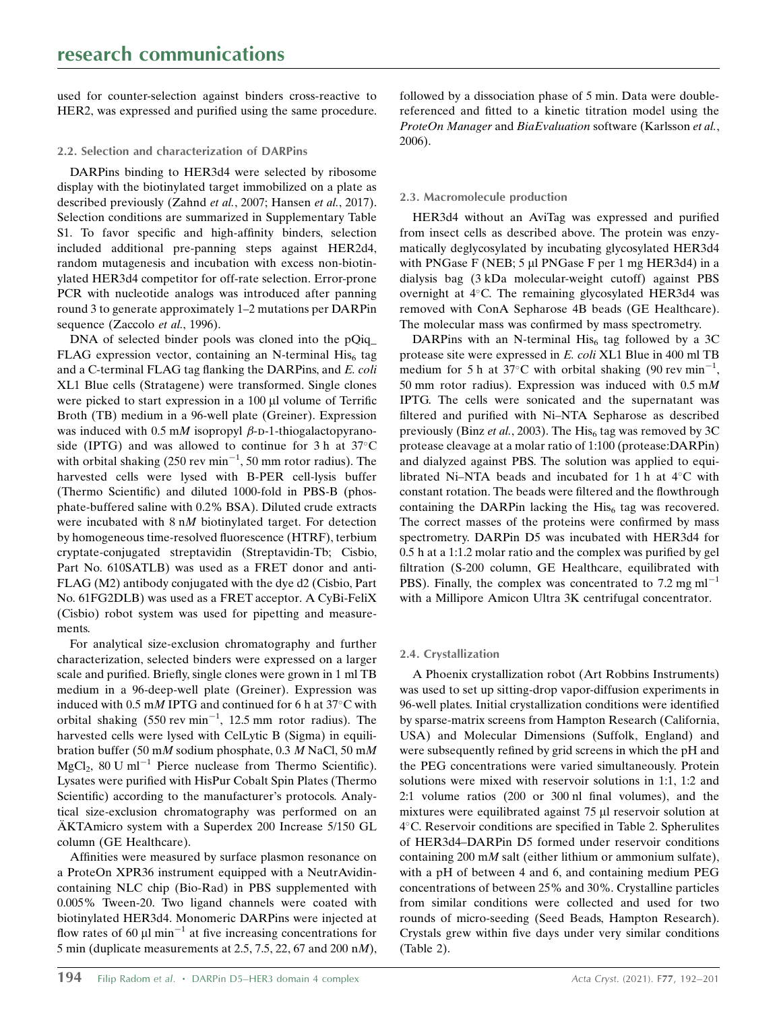used for counter-selection against binders cross-reactive to HER2, was expressed and purified using the same procedure.

# 2.2. Selection and characterization of DARPins

DARPins binding to HER3d4 were selected by ribosome display with the biotinylated target immobilized on a plate as described previously (Zahnd et al., 2007; Hansen et al., 2017). Selection conditions are summarized in Supplementary Table S1. To favor specific and high-affinity binders, selection included additional pre-panning steps against HER2d4, random mutagenesis and incubation with excess non-biotinylated HER3d4 competitor for off-rate selection. Error-prone PCR with nucleotide analogs was introduced after panning round 3 to generate approximately 1–2 mutations per DARPin sequence (Zaccolo et al., 1996).

DNA of selected binder pools was cloned into the pQiq FLAG expression vector, containing an N-terminal  $His<sub>6</sub>$  tag and a C-terminal FLAG tag flanking the DARPins, and E. coli XL1 Blue cells (Stratagene) were transformed. Single clones were picked to start expression in a  $100 \mu l$  volume of Terrific Broth (TB) medium in a 96-well plate (Greiner). Expression was induced with 0.5 mM isopropyl  $\beta$ -D-1-thiogalactopyranoside (IPTG) and was allowed to continue for 3 h at  $37^{\circ}$ C with orbital shaking  $(250 \text{ rev min}^{-1}, 50 \text{ mm}$  rotor radius). The harvested cells were lysed with B-PER cell-lysis buffer (Thermo Scientific) and diluted 1000-fold in PBS-B (phosphate-buffered saline with 0.2% BSA). Diluted crude extracts were incubated with 8 nM biotinylated target. For detection by homogeneous time-resolved fluorescence (HTRF), terbium cryptate-conjugated streptavidin (Streptavidin-Tb; Cisbio, Part No. 610SATLB) was used as a FRET donor and anti-FLAG (M2) antibody conjugated with the dye d2 (Cisbio, Part No. 61FG2DLB) was used as a FRET acceptor. A CyBi-FeliX (Cisbio) robot system was used for pipetting and measurements.

For analytical size-exclusion chromatography and further characterization, selected binders were expressed on a larger scale and purified. Briefly, single clones were grown in 1 ml TB medium in a 96-deep-well plate (Greiner). Expression was induced with 0.5 mM IPTG and continued for 6 h at  $37^{\circ}$ C with orbital shaking  $(550 \text{ rev min}^{-1}, 12.5 \text{ mm}$  rotor radius). The harvested cells were lysed with CelLytic B (Sigma) in equilibration buffer (50 mM sodium phosphate, 0.3 M NaCl, 50 mM  $MgCl<sub>2</sub>$ , 80 U ml<sup>-1</sup> Pierce nuclease from Thermo Scientific). Lysates were purified with HisPur Cobalt Spin Plates (Thermo Scientific) according to the manufacturer's protocols. Analytical size-exclusion chromatography was performed on an  $AKTAmicro$  system with a Superdex 200 Increase  $5/150$  GL column (GE Healthcare).

Affinities were measured by surface plasmon resonance on a ProteOn XPR36 instrument equipped with a NeutrAvidincontaining NLC chip (Bio-Rad) in PBS supplemented with 0.005% Tween-20. Two ligand channels were coated with biotinylated HER3d4. Monomeric DARPins were injected at flow rates of 60  $\mu$ l min<sup>-1</sup> at five increasing concentrations for 5 min (duplicate measurements at 2.5, 7.5, 22, 67 and 200 nM), followed by a dissociation phase of 5 min. Data were doublereferenced and fitted to a kinetic titration model using the ProteOn Manager and BiaEvaluation software (Karlsson et al., 2006).

# 2.3. Macromolecule production

HER3d4 without an AviTag was expressed and purified from insect cells as described above. The protein was enzymatically deglycosylated by incubating glycosylated HER3d4 with PNGase F (NEB;  $5 \mu$ I PNGase F per 1 mg HER3d4) in a dialysis bag (3 kDa molecular-weight cutoff) against PBS overnight at 4°C. The remaining glycosylated HER3d4 was removed with ConA Sepharose 4B beads (GE Healthcare). The molecular mass was confirmed by mass spectrometry.

DARPins with an N-terminal His<sub>6</sub> tag followed by a 3C protease site were expressed in E. coli XL1 Blue in 400 ml TB medium for 5 h at 37°C with orbital shaking (90 rev min<sup>-1</sup>, 50 mm rotor radius). Expression was induced with 0.5 mM IPTG. The cells were sonicated and the supernatant was filtered and purified with Ni–NTA Sepharose as described previously (Binz et al., 2003). The  $His<sub>6</sub>$  tag was removed by 3C protease cleavage at a molar ratio of 1:100 (protease:DARPin) and dialyzed against PBS. The solution was applied to equilibrated Ni–NTA beads and incubated for 1 h at  $4^{\circ}$ C with constant rotation. The beads were filtered and the flowthrough containing the DARPin lacking the  $His<sub>6</sub>$  tag was recovered. The correct masses of the proteins were confirmed by mass spectrometry. DARPin D5 was incubated with HER3d4 for 0.5 h at a 1:1.2 molar ratio and the complex was purified by gel filtration (S-200 column, GE Healthcare, equilibrated with PBS). Finally, the complex was concentrated to 7.2 mg  $ml^{-1}$ with a Millipore Amicon Ultra 3K centrifugal concentrator.

# 2.4. Crystallization

A Phoenix crystallization robot (Art Robbins Instruments) was used to set up sitting-drop vapor-diffusion experiments in 96-well plates. Initial crystallization conditions were identified by sparse-matrix screens from Hampton Research (California, USA) and Molecular Dimensions (Suffolk, England) and were subsequently refined by grid screens in which the pH and the PEG concentrations were varied simultaneously. Protein solutions were mixed with reservoir solutions in 1:1, 1:2 and 2:1 volume ratios (200 or 300 nl final volumes), and the mixtures were equilibrated against 75 µl reservoir solution at 4C. Reservoir conditions are specified in Table 2. Spherulites of HER3d4–DARPin D5 formed under reservoir conditions containing 200 mM salt (either lithium or ammonium sulfate), with a pH of between 4 and 6, and containing medium PEG concentrations of between 25% and 30%. Crystalline particles from similar conditions were collected and used for two rounds of micro-seeding (Seed Beads, Hampton Research). Crystals grew within five days under very similar conditions (Table 2).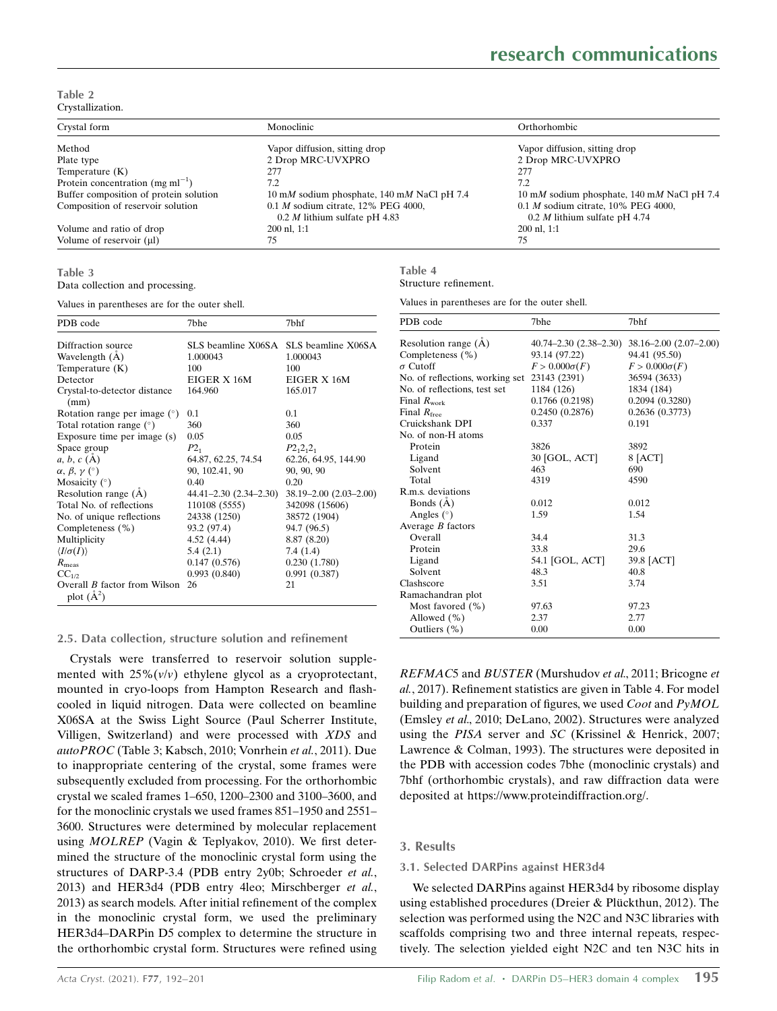Table 2 Crystallization.

| Crystal form                           | Monoclinic                                 | Orthorhombic                               |
|----------------------------------------|--------------------------------------------|--------------------------------------------|
| Method                                 | Vapor diffusion, sitting drop              | Vapor diffusion, sitting drop              |
| Plate type                             | 2 Drop MRC-UVXPRO                          | 2 Drop MRC-UVXPRO                          |
| Temperature $(K)$                      | 277                                        | 277                                        |
| Protein concentration (mg m $l^{-1}$ ) | 7.2                                        | 7.2                                        |
| Buffer composition of protein solution | 10 mM sodium phosphate, 140 mM NaCl pH 7.4 | 10 mM sodium phosphate, 140 mM NaCl pH 7.4 |
| Composition of reservoir solution      | $0.1 M$ sodium citrate, 12% PEG 4000,      | 0.1 $M$ sodium citrate, 10% PEG 4000,      |
|                                        | $0.2 M$ lithium sulfate pH 4.83            | $0.2$ <i>M</i> lithium sulfate pH 4.74     |
| Volume and ratio of drop               | 200 nl, 1:1                                | $200$ nl, $1:1$                            |
| Volume of reservoir $(\mu I)$          | 75                                         | 75                                         |

#### Table 3

Data collection and processing.

Values in parentheses are for the outer shell.

| PDB code                                            | 7bhe                   | 7bhf                                  |
|-----------------------------------------------------|------------------------|---------------------------------------|
| Diffraction source                                  |                        | SLS beamline X06SA SLS beamline X06SA |
| Wavelength (A)                                      | 1.000043               | 1.000043                              |
| Temperature $(K)$                                   | 100                    | 100                                   |
| Detector                                            | EIGER X 16M            | EIGER X 16M                           |
| Crystal-to-detector distance<br>(mm)                | 164.960                | 165.017                               |
| Rotation range per image $(°)$                      | 0.1                    | 0.1                                   |
| Total rotation range $(°)$                          | 360                    | 360                                   |
| Exposure time per image (s)                         | 0.05                   | 0.05                                  |
| Space group                                         | $P2_{1}$               | $P2_12_12_1$                          |
| $a, b, c (\AA)$                                     | 64.87, 62.25, 74.54    | 62.26, 64.95, 144.90                  |
| $\alpha, \beta, \gamma$ (°)                         | 90, 102.41, 90         | 90, 90, 90                            |
| Mosaicity $(°)$                                     | 0.40                   | 0.20                                  |
| Resolution range (A)                                | 44.41–2.30 (2.34–2.30) | 38.19–2.00 (2.03–2.00)                |
| Total No. of reflections                            | 110108 (5555)          | 342098 (15606)                        |
| No. of unique reflections                           | 24338 (1250)           | 38572 (1904)                          |
| Completeness (%)                                    | 93.2 (97.4)            | 94.7 (96.5)                           |
| Multiplicity                                        | 4.52 (4.44)            | 8.87 (8.20)                           |
| $\langle I/\sigma(I)\rangle$                        | 5.4(2.1)               | 7.4(1.4)                              |
| $R_{\text{meas}}$                                   | 0.147(0.576)           | 0.230(1.780)                          |
| $CC_{1/2}$                                          | 0.993(0.840)           | 0.991(0.387)                          |
| Overall <i>B</i> factor from Wilson<br>plot $(A^2)$ | 26                     | 21                                    |

#### 2.5. Data collection, structure solution and refinement

Crystals were transferred to reservoir solution supplemented with  $25\% (v/v)$  ethylene glycol as a cryoprotectant, mounted in cryo-loops from Hampton Research and flashcooled in liquid nitrogen. Data were collected on beamline X06SA at the Swiss Light Source (Paul Scherrer Institute, Villigen, Switzerland) and were processed with XDS and autoPROC (Table 3; Kabsch, 2010; Vonrhein et al., 2011). Due to inappropriate centering of the crystal, some frames were subsequently excluded from processing. For the orthorhombic crystal we scaled frames 1–650, 1200–2300 and 3100–3600, and for the monoclinic crystals we used frames 851–1950 and 2551– 3600. Structures were determined by molecular replacement using MOLREP (Vagin & Teplyakov, 2010). We first determined the structure of the monoclinic crystal form using the structures of DARP-3.4 (PDB entry 2y0b; Schroeder et al., 2013) and HER3d4 (PDB entry 4leo; Mirschberger et al., 2013) as search models. After initial refinement of the complex in the monoclinic crystal form, we used the preliminary HER3d4–DARPin D5 complex to determine the structure in the orthorhombic crystal form. Structures were refined using

| Table 4 |                       |
|---------|-----------------------|
|         | Structure refinement. |

Values in parentheses are for the outer shell.

| PDB code                        | 7bhe                           | 7bhf                           |  |
|---------------------------------|--------------------------------|--------------------------------|--|
| Resolution range $(\dot{A})$    | $40.74 - 2.30$ $(2.38 - 2.30)$ | $38.16 - 2.00$ $(2.07 - 2.00)$ |  |
| Completeness (%)                | 93.14 (97.22)                  | 94.41 (95.50)                  |  |
| $\sigma$ Cutoff                 | $F > 0.000\sigma(F)$           | $F > 0.000\sigma(F)$           |  |
| No. of reflections, working set | 23143 (2391)                   | 36594 (3633)                   |  |
| No. of reflections, test set    | 1184 (126)                     | 1834 (184)                     |  |
| Final $R_{work}$                | 0.1766 (0.2198)                | 0.2094(0.3280)                 |  |
| Final $R_{\text{free}}$         | 0.2450(0.2876)                 | 0.2636(0.3773)                 |  |
| Cruickshank DPI                 | 0.337                          | 0.191                          |  |
| No. of non-H atoms              |                                |                                |  |
| Protein                         | 3826                           | 3892                           |  |
| Ligand                          | 30 [GOL, ACT]                  | $8$ [ACT]                      |  |
| Solvent                         | 463                            | 690                            |  |
| Total                           | 4319                           | 4590                           |  |
| R.m.s. deviations               |                                |                                |  |
| Bonds $(\dot{A})$               | 0.012                          | 0.012                          |  |
| Angles $(°)$                    | 1.59                           | 1.54                           |  |
| Average $B$ factors             |                                |                                |  |
| Overall                         | 34.4                           | 31.3                           |  |
| Protein                         | 33.8                           | 29.6                           |  |
| Ligand                          | 54.1 [GOL, ACT]                | 39.8 [ACT]                     |  |
| Solvent                         | 48.3                           | 40.8                           |  |
| Clashscore                      | 3.51                           | 3.74                           |  |
| Ramachandran plot               |                                |                                |  |
| Most favored $(\% )$            | 97.63                          | 97.23                          |  |
| Allowed $(\% )$                 | 2.37                           | 2.77                           |  |
| Outliers (%)                    | 0.00                           | 0.00                           |  |

REFMAC5 and BUSTER (Murshudov et al., 2011; Bricogne et al., 2017). Refinement statistics are given in Table 4. For model building and preparation of figures, we used *Coot* and  $PyMOL$ (Emsley et al., 2010; DeLano, 2002). Structures were analyzed using the PISA server and SC (Krissinel & Henrick, 2007; Lawrence & Colman, 1993). The structures were deposited in the PDB with accession codes 7bhe (monoclinic crystals) and 7bhf (orthorhombic crystals), and raw diffraction data were deposited at https://www.proteindiffraction.org/.

## 3. Results

#### 3.1. Selected DARPins against HER3d4

We selected DARPins against HER3d4 by ribosome display using established procedures (Dreier & Plückthun, 2012). The selection was performed using the N2C and N3C libraries with scaffolds comprising two and three internal repeats, respectively. The selection yielded eight N2C and ten N3C hits in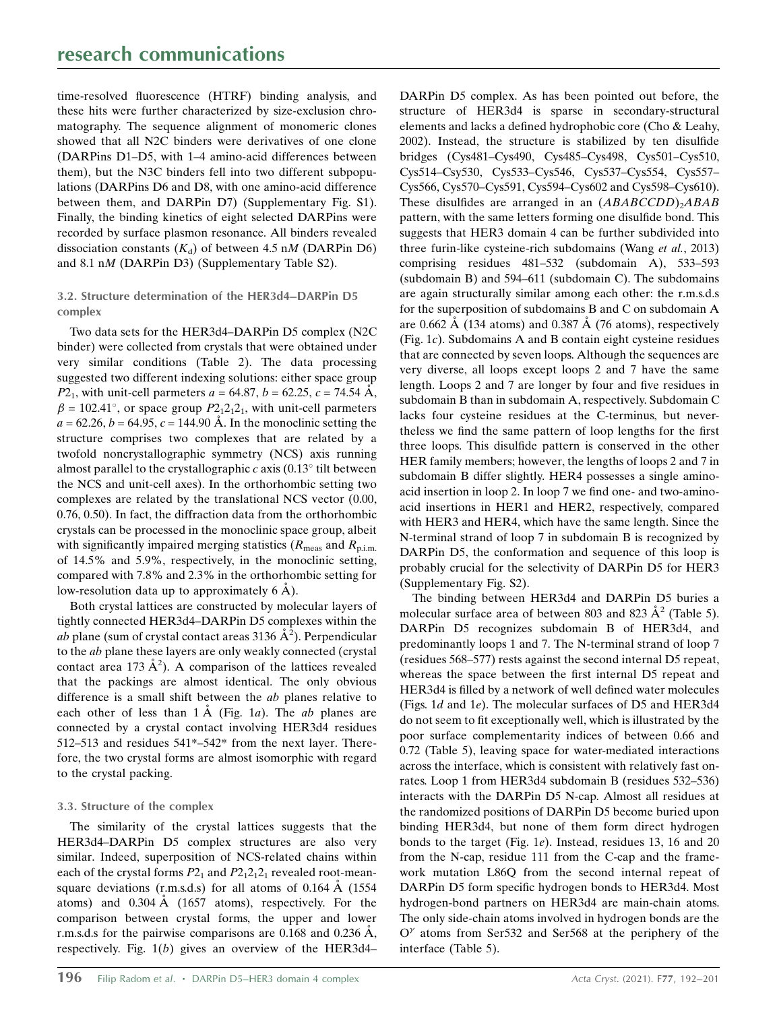time-resolved fluorescence (HTRF) binding analysis, and these hits were further characterized by size-exclusion chromatography. The sequence alignment of monomeric clones showed that all N2C binders were derivatives of one clone (DARPins D1–D5, with 1–4 amino-acid differences between them), but the N3C binders fell into two different subpopulations (DARPins D6 and D8, with one amino-acid difference between them, and DARPin D7) (Supplementary Fig. S1). Finally, the binding kinetics of eight selected DARPins were recorded by surface plasmon resonance. All binders revealed dissociation constants  $(K_d)$  of between 4.5 nM (DARPin D6) and 8.1 nM (DARPin D3) (Supplementary Table S2).

# 3.2. Structure determination of the HER3d4–DARPin D5 complex

Two data sets for the HER3d4–DARPin D5 complex (N2C binder) were collected from crystals that were obtained under very similar conditions (Table 2). The data processing suggested two different indexing solutions: either space group  $P2_1$ , with unit-cell parmeters  $a = 64.87$ ,  $b = 62.25$ ,  $c = 74.54$  Å,  $\beta = 102.41^{\circ}$ , or space group  $P2<sub>1</sub>2<sub>1</sub>2<sub>1</sub>$ , with unit-cell parmeters  $a = 62.26, b = 64.95, c = 144.90$  Å. In the monoclinic setting the structure comprises two complexes that are related by a twofold noncrystallographic symmetry (NCS) axis running almost parallel to the crystallographic c axis  $(0.13^{\circ}$  tilt between the NCS and unit-cell axes). In the orthorhombic setting two complexes are related by the translational NCS vector (0.00, 0.76, 0.50). In fact, the diffraction data from the orthorhombic crystals can be processed in the monoclinic space group, albeit with significantly impaired merging statistics ( $R_{\text{meas}}$  and  $R_{\text{p.i.m.}}$ ) of 14.5% and 5.9%, respectively, in the monoclinic setting, compared with 7.8% and 2.3% in the orthorhombic setting for low-resolution data up to approximately  $6 \text{ Å}$ ).

Both crystal lattices are constructed by molecular layers of tightly connected HER3d4–DARPin D5 complexes within the *ab* plane (sum of crystal contact areas 3136  $\AA$ <sup>2</sup>). Perpendicular to the ab plane these layers are only weakly connected (crystal contact area 173  $\AA^2$ ). A comparison of the lattices revealed that the packings are almost identical. The only obvious difference is a small shift between the ab planes relative to each other of less than  $1 \text{ Å}$  (Fig. 1a). The ab planes are connected by a crystal contact involving HER3d4 residues 512–513 and residues 541\*–542\* from the next layer. Therefore, the two crystal forms are almost isomorphic with regard to the crystal packing.

# 3.3. Structure of the complex

The similarity of the crystal lattices suggests that the HER3d4–DARPin D5 complex structures are also very similar. Indeed, superposition of NCS-related chains within each of the crystal forms  $P2_1$  and  $P2_12_12_1$  revealed root-meansquare deviations (r.m.s.d.s) for all atoms of  $0.164 \text{ Å}$  (1554) atoms) and  $0.304 \text{ Å}$  (1657 atoms), respectively. For the comparison between crystal forms, the upper and lower r.m.s.d.s for the pairwise comparisons are  $0.168$  and  $0.236$  Å, respectively. Fig. 1(b) gives an overview of the HER3d4–

DARPin D5 complex. As has been pointed out before, the structure of HER3d4 is sparse in secondary-structural elements and lacks a defined hydrophobic core (Cho & Leahy, 2002). Instead, the structure is stabilized by ten disulfide bridges (Cys481–Cys490, Cys485–Cys498, Cys501–Cys510, Cys514–Csy530, Cys533–Cys546, Cys537–Cys554, Cys557– Cys566, Cys570–Cys591, Cys594–Cys602 and Cys598–Cys610). These disulfides are arranged in an  $(ABABCCDD)_{2}ABAB$ pattern, with the same letters forming one disulfide bond. This suggests that HER3 domain 4 can be further subdivided into three furin-like cysteine-rich subdomains (Wang et al., 2013) comprising residues 481–532 (subdomain A), 533–593 (subdomain B) and 594–611 (subdomain C). The subdomains are again structurally similar among each other: the r.m.s.d.s for the superposition of subdomains B and C on subdomain A are 0.662 Å (134 atoms) and 0.387 Å (76 atoms), respectively (Fig. 1c). Subdomains A and B contain eight cysteine residues that are connected by seven loops. Although the sequences are very diverse, all loops except loops 2 and 7 have the same length. Loops 2 and 7 are longer by four and five residues in subdomain B than in subdomain A, respectively. Subdomain C lacks four cysteine residues at the C-terminus, but nevertheless we find the same pattern of loop lengths for the first three loops. This disulfide pattern is conserved in the other HER family members; however, the lengths of loops 2 and 7 in subdomain B differ slightly. HER4 possesses a single aminoacid insertion in loop 2. In loop 7 we find one- and two-aminoacid insertions in HER1 and HER2, respectively, compared with HER3 and HER4, which have the same length. Since the N-terminal strand of loop 7 in subdomain B is recognized by DARPin D5, the conformation and sequence of this loop is probably crucial for the selectivity of DARPin D5 for HER3 (Supplementary Fig. S2).

The binding between HER3d4 and DARPin D5 buries a molecular surface area of between 803 and 823  $\AA^2$  (Table 5). DARPin D5 recognizes subdomain B of HER3d4, and predominantly loops 1 and 7. The N-terminal strand of loop 7 (residues 568–577) rests against the second internal D5 repeat, whereas the space between the first internal D5 repeat and HER3d4 is filled by a network of well defined water molecules (Figs. 1d and 1e). The molecular surfaces of D5 and HER3d4 do not seem to fit exceptionally well, which is illustrated by the poor surface complementarity indices of between 0.66 and 0.72 (Table 5), leaving space for water-mediated interactions across the interface, which is consistent with relatively fast onrates. Loop 1 from HER3d4 subdomain B (residues 532–536) interacts with the DARPin D5 N-cap. Almost all residues at the randomized positions of DARPin D5 become buried upon binding HER3d4, but none of them form direct hydrogen bonds to the target (Fig. 1e). Instead, residues 13, 16 and 20 from the N-cap, residue 111 from the C-cap and the framework mutation L86Q from the second internal repeat of DARPin D5 form specific hydrogen bonds to HER3d4. Most hydrogen-bond partners on HER3d4 are main-chain atoms. The only side-chain atoms involved in hydrogen bonds are the  $O^{\gamma}$  atoms from Ser532 and Ser568 at the periphery of the interface (Table 5).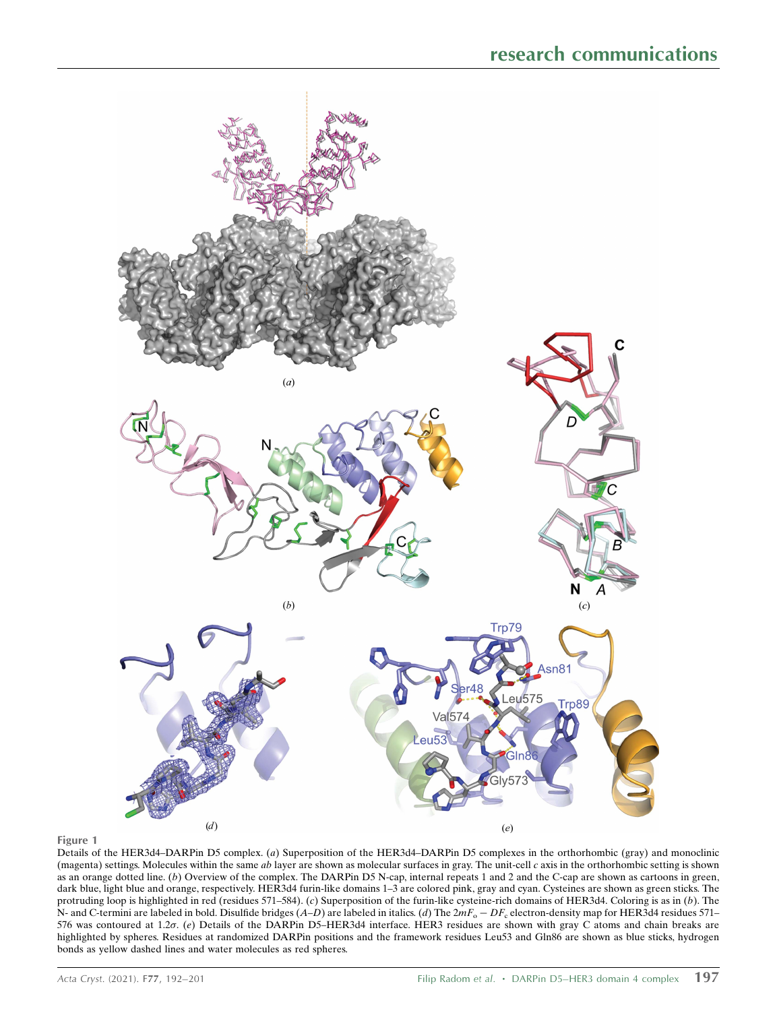

### Figure 1

Details of the HER3d4–DARPin D5 complex. (a) Superposition of the HER3d4–DARPin D5 complexes in the orthorhombic (gray) and monoclinic (magenta) settings. Molecules within the same ab layer are shown as molecular surfaces in gray. The unit-cell c axis in the orthorhombic setting is shown as an orange dotted line. (b) Overview of the complex. The DARPin D5 N-cap, internal repeats 1 and 2 and the C-cap are shown as cartoons in green, dark blue, light blue and orange, respectively. HER3d4 furin-like domains 1–3 are colored pink, gray and cyan. Cysteines are shown as green sticks. The protruding loop is highlighted in red (residues 571–584). (c) Superposition of the furin-like cysteine-rich domains of HER3d4. Coloring is as in (b). The N- and C-termini are labeled in bold. Disulfide bridges  $(A-D)$  are labeled in italics. (d) The  $2mF_0 - DF_0$  electron-density map for HER3d4 residues 571– 576 was contoured at 1.2 $\sigma$ . (e) Details of the DARPin D5-HER3d4 interface. HER3 residues are shown with gray C atoms and chain breaks are highlighted by spheres. Residues at randomized DARPin positions and the framework residues Leu53 and Gln86 are shown as blue sticks, hydrogen bonds as yellow dashed lines and water molecules as red spheres.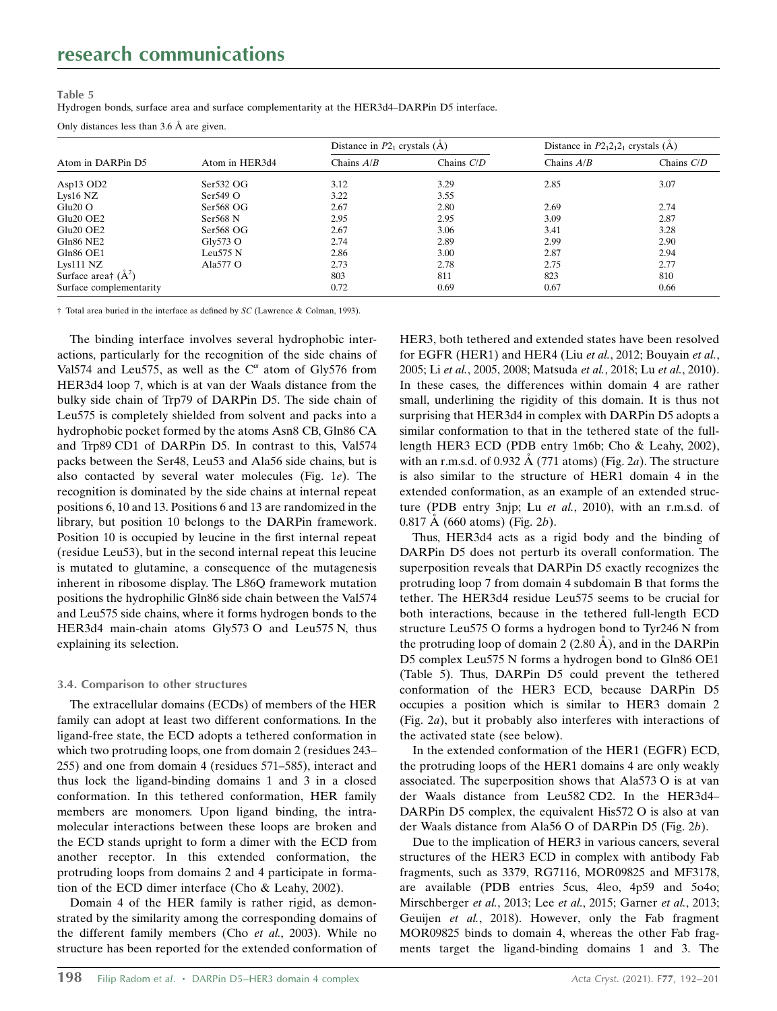#### Table 5

Hydrogen bonds, surface area and surface complementarity at the HER3d4–DARPin D5 interface.

Only distances less than  $3.6 \text{ Å}$  are given.

| Atom in DARPin D5                 | Atom in HER3d4      | Distance in $P2_1$ crystals (A) |              | Distance in $P2_12_12_1$ crystals (A) |              |
|-----------------------------------|---------------------|---------------------------------|--------------|---------------------------------------|--------------|
|                                   |                     | Chains $A/B$                    | Chains $C/D$ | Chains $A/B$                          | Chains $C/D$ |
| Asp13 OD2                         | Ser532 OG           | 3.12                            | 3.29         | 2.85                                  | 3.07         |
| Lys $16$ NZ                       | $Ser549$ O          | 3.22                            | 3.55         |                                       |              |
| $Glu20$ O                         | Ser568 OG           | 2.67                            | 2.80         | 2.69                                  | 2.74         |
| Glu <sub>20</sub> OE <sub>2</sub> | $Ser568$ N          | 2.95                            | 2.95         | 3.09                                  | 2.87         |
| Glu <sub>20</sub> OE <sub>2</sub> | Ser568 OG           | 2.67                            | 3.06         | 3.41                                  | 3.28         |
| Gln86 NE2                         | $\mathrm{Gly573}$ O | 2.74                            | 2.89         | 2.99                                  | 2.90         |
| Gln86 OE1                         | Leu575 N            | 2.86                            | 3.00         | 2.87                                  | 2.94         |
| $Lys111$ NZ                       | Ala577 O            | 2.73                            | 2.78         | 2.75                                  | 2.77         |
| Surface area† $(\AA^2)$           |                     | 803                             | 811          | 823                                   | 810          |
| Surface complementarity           |                     | 0.72                            | 0.69         | 0.67                                  | 0.66         |

† Total area buried in the interface as defined by SC (Lawrence & Colman, 1993).

The binding interface involves several hydrophobic interactions, particularly for the recognition of the side chains of Val574 and Leu575, as well as the  $C^{\alpha}$  atom of Gly576 from HER3d4 loop 7, which is at van der Waals distance from the bulky side chain of Trp79 of DARPin D5. The side chain of Leu575 is completely shielded from solvent and packs into a hydrophobic pocket formed by the atoms Asn8 CB, Gln86 CA and Trp89 CD1 of DARPin D5. In contrast to this, Val574 packs between the Ser48, Leu53 and Ala56 side chains, but is also contacted by several water molecules (Fig. 1e). The recognition is dominated by the side chains at internal repeat positions 6, 10 and 13. Positions 6 and 13 are randomized in the library, but position 10 belongs to the DARPin framework. Position 10 is occupied by leucine in the first internal repeat (residue Leu53), but in the second internal repeat this leucine is mutated to glutamine, a consequence of the mutagenesis inherent in ribosome display. The L86Q framework mutation positions the hydrophilic Gln86 side chain between the Val574 and Leu575 side chains, where it forms hydrogen bonds to the HER3d4 main-chain atoms Gly573 O and Leu575 N, thus explaining its selection.

## 3.4. Comparison to other structures

The extracellular domains (ECDs) of members of the HER family can adopt at least two different conformations. In the ligand-free state, the ECD adopts a tethered conformation in which two protruding loops, one from domain 2 (residues 243– 255) and one from domain 4 (residues 571–585), interact and thus lock the ligand-binding domains 1 and 3 in a closed conformation. In this tethered conformation, HER family members are monomers. Upon ligand binding, the intramolecular interactions between these loops are broken and the ECD stands upright to form a dimer with the ECD from another receptor. In this extended conformation, the protruding loops from domains 2 and 4 participate in formation of the ECD dimer interface (Cho & Leahy, 2002).

Domain 4 of the HER family is rather rigid, as demonstrated by the similarity among the corresponding domains of the different family members (Cho et al., 2003). While no structure has been reported for the extended conformation of HER3, both tethered and extended states have been resolved for EGFR (HER1) and HER4 (Liu et al., 2012; Bouyain et al., 2005; Li et al., 2005, 2008; Matsuda et al., 2018; Lu et al., 2010). In these cases, the differences within domain 4 are rather small, underlining the rigidity of this domain. It is thus not surprising that HER3d4 in complex with DARPin D5 adopts a similar conformation to that in the tethered state of the fulllength HER3 ECD (PDB entry 1m6b; Cho & Leahy, 2002), with an r.m.s.d. of 0.932  $\AA$  (771 atoms) (Fig. 2a). The structure is also similar to the structure of HER1 domain 4 in the extended conformation, as an example of an extended structure (PDB entry 3njp; Lu et al., 2010), with an r.m.s.d. of 0.817 Å (660 atoms) (Fig. 2b).

Thus, HER3d4 acts as a rigid body and the binding of DARPin D5 does not perturb its overall conformation. The superposition reveals that DARPin D5 exactly recognizes the protruding loop 7 from domain 4 subdomain B that forms the tether. The HER3d4 residue Leu575 seems to be crucial for both interactions, because in the tethered full-length ECD structure Leu575 O forms a hydrogen bond to Tyr246 N from the protruding loop of domain  $2$  (2.80 Å), and in the DARPin D5 complex Leu575 N forms a hydrogen bond to Gln86 OE1 (Table 5). Thus, DARPin D5 could prevent the tethered conformation of the HER3 ECD, because DARPin D5 occupies a position which is similar to HER3 domain 2 (Fig. 2a), but it probably also interferes with interactions of the activated state (see below).

In the extended conformation of the HER1 (EGFR) ECD, the protruding loops of the HER1 domains 4 are only weakly associated. The superposition shows that Ala573 O is at van der Waals distance from Leu582 CD2. In the HER3d4– DARPin D5 complex, the equivalent His572 O is also at van der Waals distance from Ala56 O of DARPin D5 (Fig. 2b).

Due to the implication of HER3 in various cancers, several structures of the HER3 ECD in complex with antibody Fab fragments, such as 3379, RG7116, MOR09825 and MF3178, are available (PDB entries 5cus, 4leo, 4p59 and 5o4o; Mirschberger et al., 2013; Lee et al., 2015; Garner et al., 2013; Geuijen et al., 2018). However, only the Fab fragment MOR09825 binds to domain 4, whereas the other Fab fragments target the ligand-binding domains 1 and 3. The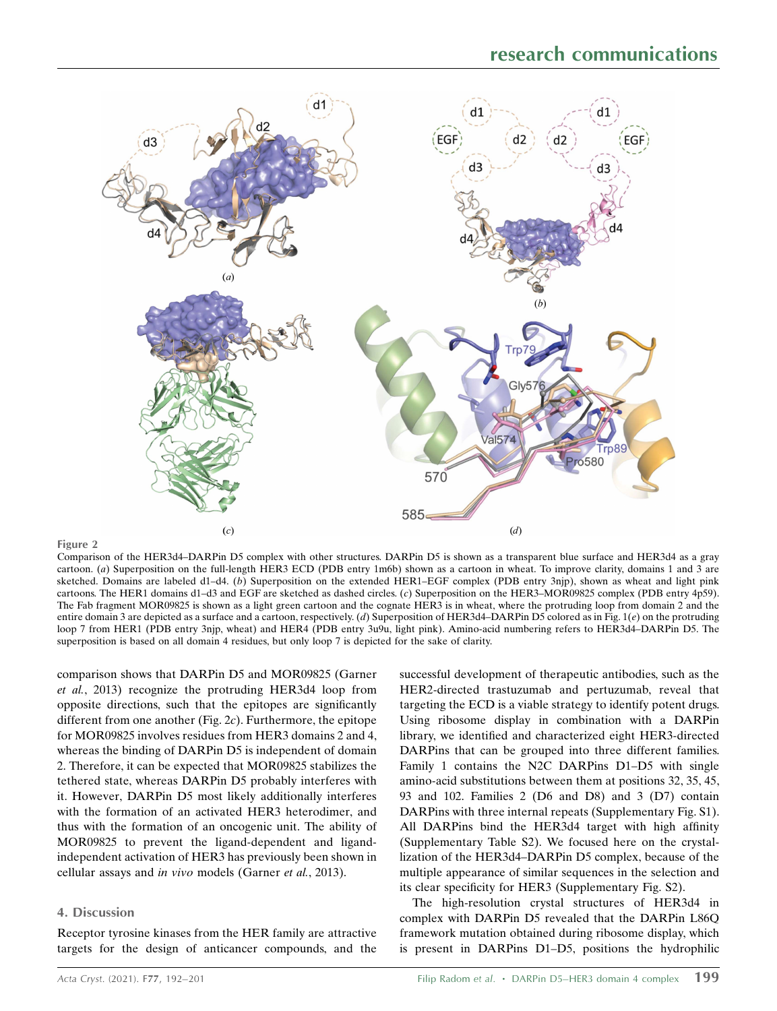

#### Figure 2

Comparison of the HER3d4–DARPin D5 complex with other structures. DARPin D5 is shown as a transparent blue surface and HER3d4 as a gray cartoon. (a) Superposition on the full-length HER3 ECD (PDB entry 1m6b) shown as a cartoon in wheat. To improve clarity, domains 1 and 3 are sketched. Domains are labeled d1–d4. (b) Superposition on the extended HER1–EGF complex (PDB entry 3njp), shown as wheat and light pink cartoons. The HER1 domains d1–d3 and EGF are sketched as dashed circles. (c) Superposition on the HER3–MOR09825 complex (PDB entry 4p59). The Fab fragment MOR09825 is shown as a light green cartoon and the cognate HER3 is in wheat, where the protruding loop from domain 2 and the entire domain 3 are depicted as a surface and a cartoon, respectively. (d) Superposition of HER3d4–DARPin D5 colored as in Fig. 1( $e$ ) on the protruding loop 7 from HER1 (PDB entry 3njp, wheat) and HER4 (PDB entry 3u9u, light pink). Amino-acid numbering refers to HER3d4–DARPin D5. The superposition is based on all domain 4 residues, but only loop 7 is depicted for the sake of clarity.

comparison shows that DARPin D5 and MOR09825 (Garner et al., 2013) recognize the protruding HER3d4 loop from opposite directions, such that the epitopes are significantly different from one another (Fig.  $2c$ ). Furthermore, the epitope for MOR09825 involves residues from HER3 domains 2 and 4, whereas the binding of DARPin D5 is independent of domain 2. Therefore, it can be expected that MOR09825 stabilizes the tethered state, whereas DARPin D5 probably interferes with it. However, DARPin D5 most likely additionally interferes with the formation of an activated HER3 heterodimer, and thus with the formation of an oncogenic unit. The ability of MOR09825 to prevent the ligand-dependent and ligandindependent activation of HER3 has previously been shown in cellular assays and in vivo models (Garner et al., 2013).

### 4. Discussion

Receptor tyrosine kinases from the HER family are attractive targets for the design of anticancer compounds, and the successful development of therapeutic antibodies, such as the HER2-directed trastuzumab and pertuzumab, reveal that targeting the ECD is a viable strategy to identify potent drugs. Using ribosome display in combination with a DARPin library, we identified and characterized eight HER3-directed DARPins that can be grouped into three different families. Family 1 contains the N2C DARPins D1–D5 with single amino-acid substitutions between them at positions 32, 35, 45, 93 and 102. Families 2 (D6 and D8) and 3 (D7) contain DARPins with three internal repeats (Supplementary Fig. S1). All DARPins bind the HER3d4 target with high affinity (Supplementary Table S2). We focused here on the crystallization of the HER3d4–DARPin D5 complex, because of the multiple appearance of similar sequences in the selection and its clear specificity for HER3 (Supplementary Fig. S2).

The high-resolution crystal structures of HER3d4 in complex with DARPin D5 revealed that the DARPin L86Q framework mutation obtained during ribosome display, which is present in DARPins D1–D5, positions the hydrophilic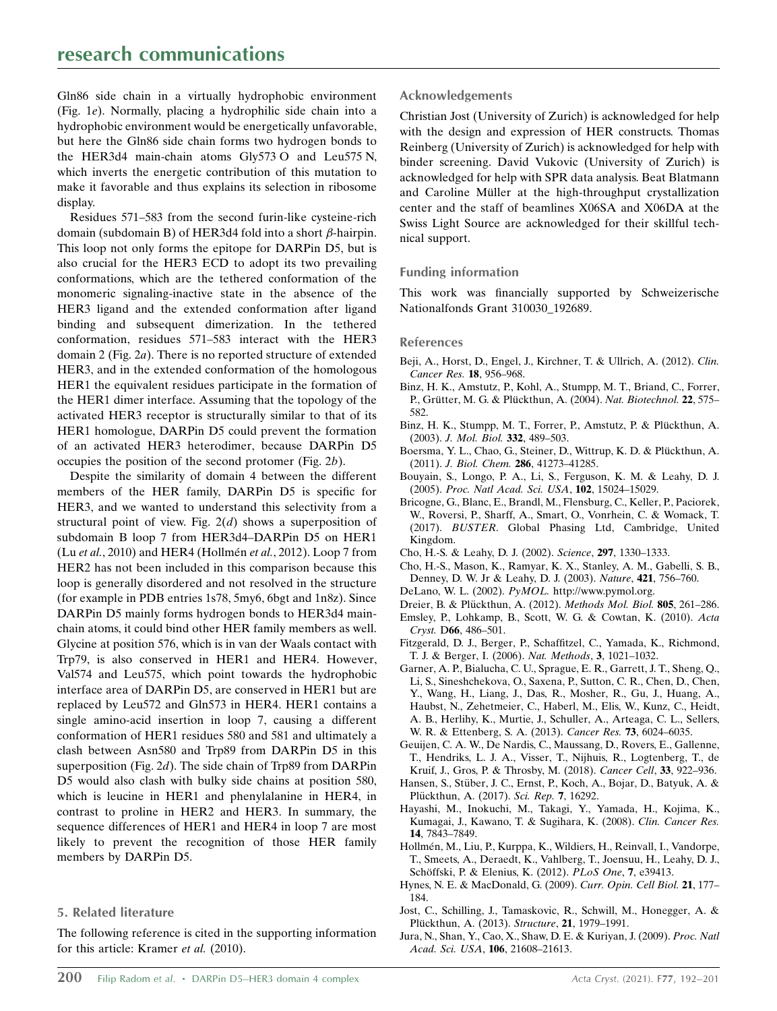Gln86 side chain in a virtually hydrophobic environment (Fig. 1e). Normally, placing a hydrophilic side chain into a hydrophobic environment would be energetically unfavorable, but here the Gln86 side chain forms two hydrogen bonds to the HER3d4 main-chain atoms Gly573 O and Leu575 N, which inverts the energetic contribution of this mutation to make it favorable and thus explains its selection in ribosome display.

Residues 571–583 from the second furin-like cysteine-rich domain (subdomain B) of HER3d4 fold into a short  $\beta$ -hairpin. This loop not only forms the epitope for DARPin D5, but is also crucial for the HER3 ECD to adopt its two prevailing conformations, which are the tethered conformation of the monomeric signaling-inactive state in the absence of the HER3 ligand and the extended conformation after ligand binding and subsequent dimerization. In the tethered conformation, residues 571–583 interact with the HER3 domain 2 (Fig. 2a). There is no reported structure of extended HER3, and in the extended conformation of the homologous HER1 the equivalent residues participate in the formation of the HER1 dimer interface. Assuming that the topology of the activated HER3 receptor is structurally similar to that of its HER1 homologue, DARPin D5 could prevent the formation of an activated HER3 heterodimer, because DARPin D5 occupies the position of the second protomer (Fig. 2b).

Despite the similarity of domain 4 between the different members of the HER family, DARPin D5 is specific for HER3, and we wanted to understand this selectivity from a structural point of view. Fig.  $2(d)$  shows a superposition of subdomain B loop 7 from HER3d4–DARPin D5 on HER1 (Lu et al., 2010) and HER4 (Hollmén et al., 2012). Loop 7 from HER2 has not been included in this comparison because this loop is generally disordered and not resolved in the structure (for example in PDB entries 1s78, 5my6, 6bgt and 1n8z). Since DARPin D5 mainly forms hydrogen bonds to HER3d4 mainchain atoms, it could bind other HER family members as well. Glycine at position 576, which is in van der Waals contact with Trp79, is also conserved in HER1 and HER4. However, Val574 and Leu575, which point towards the hydrophobic interface area of DARPin D5, are conserved in HER1 but are replaced by Leu572 and Gln573 in HER4. HER1 contains a single amino-acid insertion in loop 7, causing a different conformation of HER1 residues 580 and 581 and ultimately a clash between Asn580 and Trp89 from DARPin D5 in this superposition (Fig. 2d). The side chain of Trp89 from DARPin D5 would also clash with bulky side chains at position 580, which is leucine in HER1 and phenylalanine in HER4, in contrast to proline in HER2 and HER3. In summary, the sequence differences of HER1 and HER4 in loop 7 are most likely to prevent the recognition of those HER family members by DARPin D5.

## 5. Related literature

The following reference is cited in the supporting information for this article: Kramer et al. (2010).

# Acknowledgements

Christian Jost (University of Zurich) is acknowledged for help with the design and expression of HER constructs. Thomas Reinberg (University of Zurich) is acknowledged for help with binder screening. David Vukovic (University of Zurich) is acknowledged for help with SPR data analysis. Beat Blatmann and Caroline Müller at the high-throughput crystallization center and the staff of beamlines X06SA and X06DA at the Swiss Light Source are acknowledged for their skillful technical support.

## Funding information

This work was financially supported by Schweizerische Nationalfonds Grant 310030\_192689.

## References

- Beii, A., Horst, D., Engel, J., Kirchner, T. & Ullrich, A. (2012). Clin. [Cancer Res.](http://scripts.iucr.org/cgi-bin/cr.cgi?rm=pdfbb&cnor=no5185&bbid=BB1) 18, 956–968.
- [Binz, H. K., Amstutz, P., Kohl, A., Stumpp, M. T., Briand, C., Forrer,](http://scripts.iucr.org/cgi-bin/cr.cgi?rm=pdfbb&cnor=no5185&bbid=BB2) P., Grütter, M. G. & Plückthun, A. (2004). Nat. Biotechnol. 22, 575– [582.](http://scripts.iucr.org/cgi-bin/cr.cgi?rm=pdfbb&cnor=no5185&bbid=BB2)
- Binz, H. K., Stumpp, M. T., Forrer, P., Amstutz, P. & Plückthun, A. (2003). [J. Mol. Biol.](http://scripts.iucr.org/cgi-bin/cr.cgi?rm=pdfbb&cnor=no5185&bbid=BB3) 332, 489–503.
- Boersma, Y. L., Chao, G., Steiner, D., Wittrup, K. D. & Plückthun, A. (2011). J. Biol. Chem. 286[, 41273–41285.](http://scripts.iucr.org/cgi-bin/cr.cgi?rm=pdfbb&cnor=no5185&bbid=BB4)
- [Bouyain, S., Longo, P. A., Li, S., Ferguson, K. M. & Leahy, D. J.](http://scripts.iucr.org/cgi-bin/cr.cgi?rm=pdfbb&cnor=no5185&bbid=BB5) (2005). [Proc. Natl Acad. Sci. USA](http://scripts.iucr.org/cgi-bin/cr.cgi?rm=pdfbb&cnor=no5185&bbid=BB5), 102, 15024–15029.
- [Bricogne, G., Blanc, E., Brandl, M., Flensburg, C., Keller, P., Paciorek,](http://scripts.iucr.org/cgi-bin/cr.cgi?rm=pdfbb&cnor=no5185&bbid=BB6) [W., Roversi, P., Sharff, A., Smart, O., Vonrhein, C. & Womack, T.](http://scripts.iucr.org/cgi-bin/cr.cgi?rm=pdfbb&cnor=no5185&bbid=BB6) (2017). BUSTER[. Global Phasing Ltd, Cambridge, United](http://scripts.iucr.org/cgi-bin/cr.cgi?rm=pdfbb&cnor=no5185&bbid=BB6) [Kingdom.](http://scripts.iucr.org/cgi-bin/cr.cgi?rm=pdfbb&cnor=no5185&bbid=BB6)
- [Cho, H.-S. & Leahy, D. J. \(2002\).](http://scripts.iucr.org/cgi-bin/cr.cgi?rm=pdfbb&cnor=no5185&bbid=BB7) Science, 297, 1330–1333.
- [Cho, H.-S., Mason, K., Ramyar, K. X., Stanley, A. M., Gabelli, S. B.,](http://scripts.iucr.org/cgi-bin/cr.cgi?rm=pdfbb&cnor=no5185&bbid=BB8) [Denney, D. W. Jr & Leahy, D. J. \(2003\).](http://scripts.iucr.org/cgi-bin/cr.cgi?rm=pdfbb&cnor=no5185&bbid=BB8) Nature, 421, 756–760.
- [DeLano, W. L. \(2002\).](http://scripts.iucr.org/cgi-bin/cr.cgi?rm=pdfbb&cnor=no5185&bbid=BB9) PyMOL. http://www.pymol.org.
- Dreier, B. & Plückthun, A. (2012). [Methods Mol. Biol.](http://scripts.iucr.org/cgi-bin/cr.cgi?rm=pdfbb&cnor=no5185&bbid=BB10) 805, 261-286. [Emsley, P., Lohkamp, B., Scott, W. G. & Cowtan, K. \(2010\).](http://scripts.iucr.org/cgi-bin/cr.cgi?rm=pdfbb&cnor=no5185&bbid=BB11) Acta Cryst. D66[, 486–501.](http://scripts.iucr.org/cgi-bin/cr.cgi?rm=pdfbb&cnor=no5185&bbid=BB11)
- [Fitzgerald, D. J., Berger, P., Schaffitzel, C., Yamada, K., Richmond,](http://scripts.iucr.org/cgi-bin/cr.cgi?rm=pdfbb&cnor=no5185&bbid=BB12) [T. J. & Berger, I. \(2006\).](http://scripts.iucr.org/cgi-bin/cr.cgi?rm=pdfbb&cnor=no5185&bbid=BB12) Nat. Methods, 3, 1021–1032.
- [Garner, A. P., Bialucha, C. U., Sprague, E. R., Garrett, J. T., Sheng, Q.,](http://scripts.iucr.org/cgi-bin/cr.cgi?rm=pdfbb&cnor=no5185&bbid=BB13) [Li, S., Sineshchekova, O., Saxena, P., Sutton, C. R., Chen, D., Chen,](http://scripts.iucr.org/cgi-bin/cr.cgi?rm=pdfbb&cnor=no5185&bbid=BB13) [Y., Wang, H., Liang, J., Das, R., Mosher, R., Gu, J., Huang, A.,](http://scripts.iucr.org/cgi-bin/cr.cgi?rm=pdfbb&cnor=no5185&bbid=BB13) [Haubst, N., Zehetmeier, C., Haberl, M., Elis, W., Kunz, C., Heidt,](http://scripts.iucr.org/cgi-bin/cr.cgi?rm=pdfbb&cnor=no5185&bbid=BB13) [A. B., Herlihy, K., Murtie, J., Schuller, A., Arteaga, C. L., Sellers,](http://scripts.iucr.org/cgi-bin/cr.cgi?rm=pdfbb&cnor=no5185&bbid=BB13) [W. R. & Ettenberg, S. A. \(2013\).](http://scripts.iucr.org/cgi-bin/cr.cgi?rm=pdfbb&cnor=no5185&bbid=BB13) Cancer Res. 73, 6024–6035.
- [Geuijen, C. A. W., De Nardis, C., Maussang, D., Rovers, E., Gallenne,](http://scripts.iucr.org/cgi-bin/cr.cgi?rm=pdfbb&cnor=no5185&bbid=BB14) [T., Hendriks, L. J. A., Visser, T., Nijhuis, R., Logtenberg, T., de](http://scripts.iucr.org/cgi-bin/cr.cgi?rm=pdfbb&cnor=no5185&bbid=BB14) [Kruif, J., Gros, P. & Throsby, M. \(2018\).](http://scripts.iucr.org/cgi-bin/cr.cgi?rm=pdfbb&cnor=no5185&bbid=BB14) Cancer Cell, 33, 922–936.
- Hansen, S., Stüber, J. C., Ernst, P., Koch, A., Bojar, D., Batyuk, A. & Plü[ckthun, A. \(2017\).](http://scripts.iucr.org/cgi-bin/cr.cgi?rm=pdfbb&cnor=no5185&bbid=BB15) Sci. Rep. 7, 16292.
- [Hayashi, M., Inokuchi, M., Takagi, Y., Yamada, H., Kojima, K.,](http://scripts.iucr.org/cgi-bin/cr.cgi?rm=pdfbb&cnor=no5185&bbid=BB16) [Kumagai, J., Kawano, T. & Sugihara, K. \(2008\).](http://scripts.iucr.org/cgi-bin/cr.cgi?rm=pdfbb&cnor=no5185&bbid=BB16) Clin. Cancer Res. 14[, 7843–7849.](http://scripts.iucr.org/cgi-bin/cr.cgi?rm=pdfbb&cnor=no5185&bbid=BB16)
- Hollmén, M., Liu, P., Kurppa, K., Wildiers, H., Reinvall, I., Vandorpe, [T., Smeets, A., Deraedt, K., Vahlberg, T., Joensuu, H., Leahy, D. J.,](http://scripts.iucr.org/cgi-bin/cr.cgi?rm=pdfbb&cnor=no5185&bbid=BB17) Schöffski, P. & Elenius, K. (2012). PLoS One, 7, e39413.
- [Hynes, N. E. & MacDonald, G. \(2009\).](http://scripts.iucr.org/cgi-bin/cr.cgi?rm=pdfbb&cnor=no5185&bbid=BB18) Curr. Opin. Cell Biol. 21, 177– [184.](http://scripts.iucr.org/cgi-bin/cr.cgi?rm=pdfbb&cnor=no5185&bbid=BB18)
- [Jost, C., Schilling, J., Tamaskovic, R., Schwill, M., Honegger, A. &](http://scripts.iucr.org/cgi-bin/cr.cgi?rm=pdfbb&cnor=no5185&bbid=BB19) Plü[ckthun, A. \(2013\).](http://scripts.iucr.org/cgi-bin/cr.cgi?rm=pdfbb&cnor=no5185&bbid=BB19) Structure, 21, 1979-1991.
- [Jura, N., Shan, Y., Cao, X., Shaw, D. E. & Kuriyan, J. \(2009\).](http://scripts.iucr.org/cgi-bin/cr.cgi?rm=pdfbb&cnor=no5185&bbid=BB20) Proc. Natl [Acad. Sci. USA](http://scripts.iucr.org/cgi-bin/cr.cgi?rm=pdfbb&cnor=no5185&bbid=BB20), 106, 21608–21613.